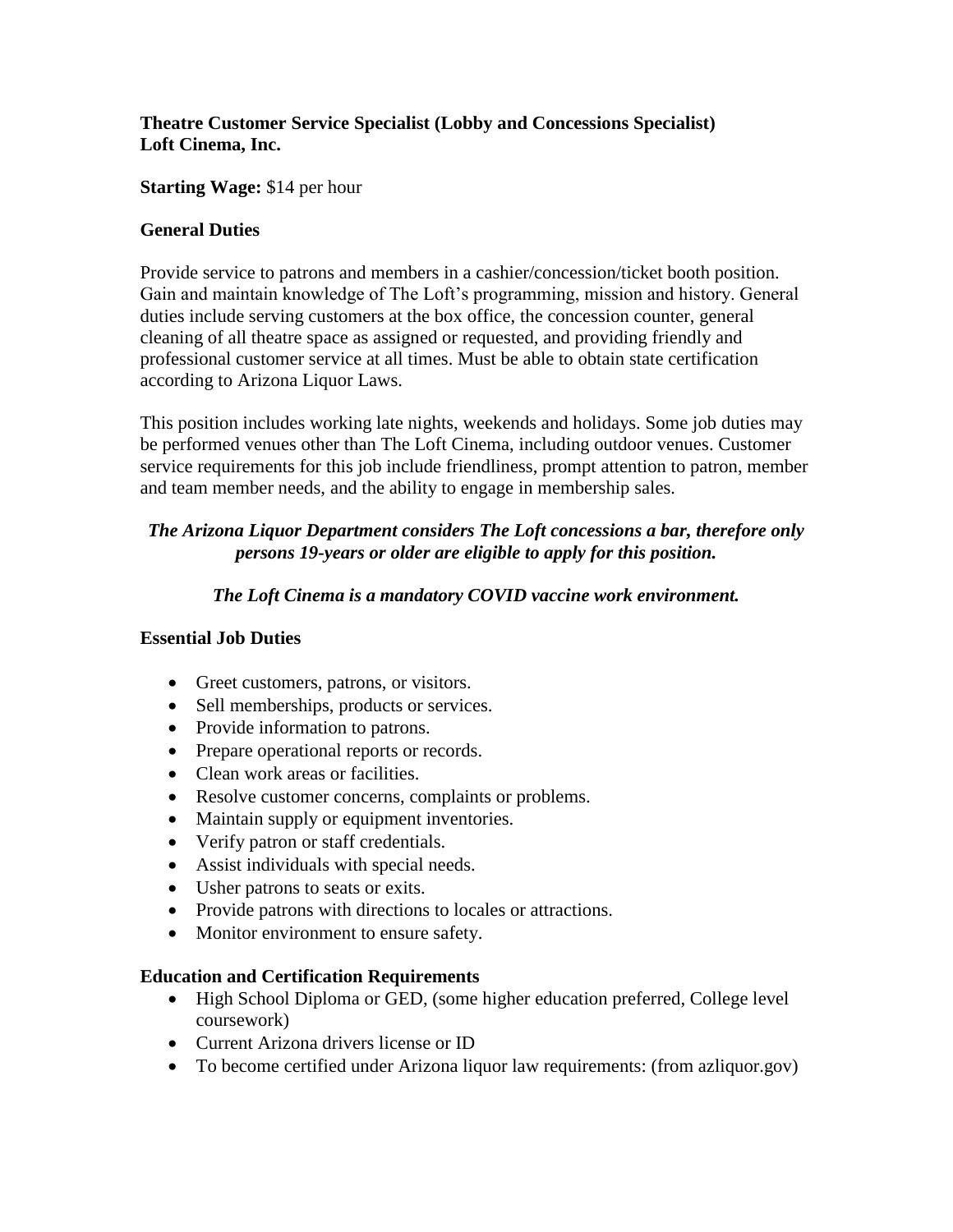# **Theatre Customer Service Specialist (Lobby and Concessions Specialist) Loft Cinema, Inc.**

## **Starting Wage:** \$14 per hour

## **General Duties**

Provide service to patrons and members in a cashier/concession/ticket booth position. Gain and maintain knowledge of The Loft's programming, mission and history. General duties include serving customers at the box office, the concession counter, general cleaning of all theatre space as assigned or requested, and providing friendly and professional customer service at all times. Must be able to obtain state certification according to Arizona Liquor Laws.

This position includes working late nights, weekends and holidays. Some job duties may be performed venues other than The Loft Cinema, including outdoor venues. Customer service requirements for this job include friendliness, prompt attention to patron, member and team member needs, and the ability to engage in membership sales.

# *The Arizona Liquor Department considers The Loft concessions a bar, therefore only persons 19-years or older are eligible to apply for this position.*

## *The Loft Cinema is a mandatory COVID vaccine work environment.*

#### **Essential Job Duties**

- Greet customers, patrons, or visitors.
- Sell memberships, products or services.
- Provide information to patrons.
- Prepare operational reports or records.
- Clean work areas or facilities.
- Resolve customer concerns, complaints or problems.
- Maintain supply or equipment inventories.
- Verify patron or staff credentials.
- Assist individuals with special needs.
- Usher patrons to seats or exits.
- Provide patrons with directions to locales or attractions.
- Monitor environment to ensure safety.

#### **Education and Certification Requirements**

- High School Diploma or GED, (some higher education preferred, College level coursework)
- Current Arizona drivers license or ID
- To become certified under Arizona liquor law requirements: (from azliquor.gov)